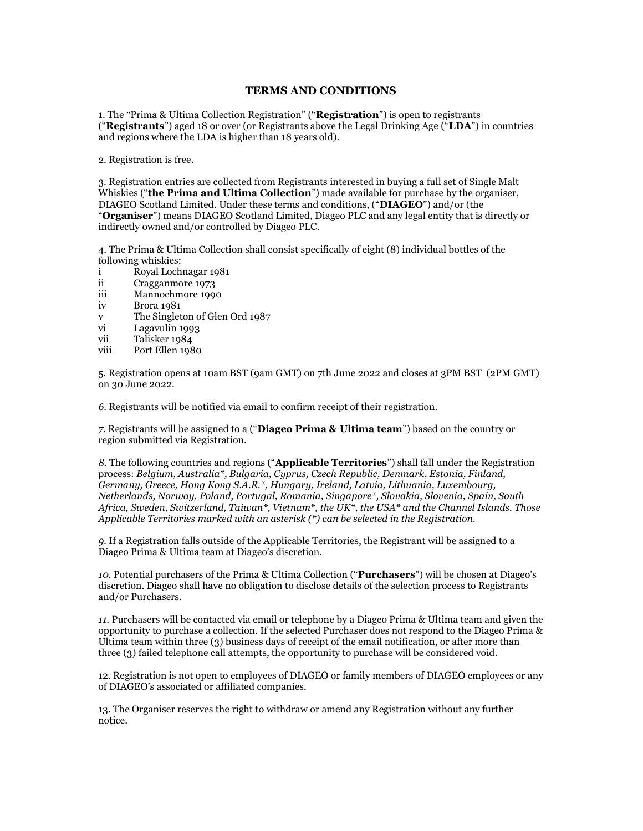## TERMS AND CONDITIONS

1. The "Prima & Ultima Collection Registration" ("Registration") is open to registrants ("Registrants") aged 18 or over (or Registrants above the Legal Drinking Age ("LDA") in countries and regions where the LDA is higher than 18 years old).

2. Registration is free.

3. Registration entries are collected from Registrants interested in buying a full set of Single Malt Whiskies ("the Prima and Ultima Collection") made available for purchase by the organiser, DIAGEO Scotland Limited. Under these terms and conditions, ("DIAGEO") and/or (the "Organiser") means DIAGEO Scotland Limited, Diageo PLC and any legal entity that is directly or indirectly owned and/or controlled by Diageo PLC.

4. The Prima & Ultima Collection shall consist specifically of eight (8) individual bottles of the following whiskies:

- i Royal Lochnagar 1981<br>ii Cragganmore 1973
- ii Cragganmore 1973<br>iii Mannochmore 1990
- Mannochmore 1990
- iv Brora 1981
- v The Singleton of Glen Ord 1987<br>vi Lagavulin 1993
- Lagavulin 1993
- vii Talisker 1984
- viii Port Ellen 1980

5. Registration opens at 10am BST (9am GMT) on 7th June 2022 and closes at 3PM BST (2PM GMT) on 30 June 2022.

6. Registrants will be notified via email to confirm receipt of their registration.

7. Registrants will be assigned to a ("Diageo Prima & Ultima team") based on the country or region submitted via Registration.

8. The following countries and regions ("Applicable Territories") shall fall under the Registration process: Belgium, Australia\*, Bulgaria, Cyprus, Czech Republic, Denmark, Estonia, Finland, Germany, Greece, Hong Kong S.A.R.\*, Hungary, Ireland, Latvia, Lithuania, Luxembourg, Netherlands, Norway, Poland, Portugal, Romania, Singapore\*, Slovakia, Slovenia, Spain, South Africa, Sweden, Switzerland, Taiwan<sup>\*</sup>, Vietnam<sup>\*</sup>, the UK<sup>\*</sup>, the USA<sup>\*</sup> and the Channel Islands. Those Applicable Territories marked with an asterisk (\*) can be selected in the Registration.

9. If a Registration falls outside of the Applicable Territories, the Registrant will be assigned to a Diageo Prima & Ultima team at Diageo's discretion.

10. Potential purchasers of the Prima & Ultima Collection ("Purchasers") will be chosen at Diageo's discretion. Diageo shall have no obligation to disclose details of the selection process to Registrants and/or Purchasers.

11. Purchasers will be contacted via email or telephone by a Diageo Prima & Ultima team and given the opportunity to purchase a collection. If the selected Purchaser does not respond to the Diageo Prima & Ultima team within three (3) business days of receipt of the email notification, or after more than three (3) failed telephone call attempts, the opportunity to purchase will be considered void.

12. Registration is not open to employees of DIAGEO or family members of DIAGEO employees or any of DIAGEO's associated or affiliated companies.

13. The Organiser reserves the right to withdraw or amend any Registration without any further notice.